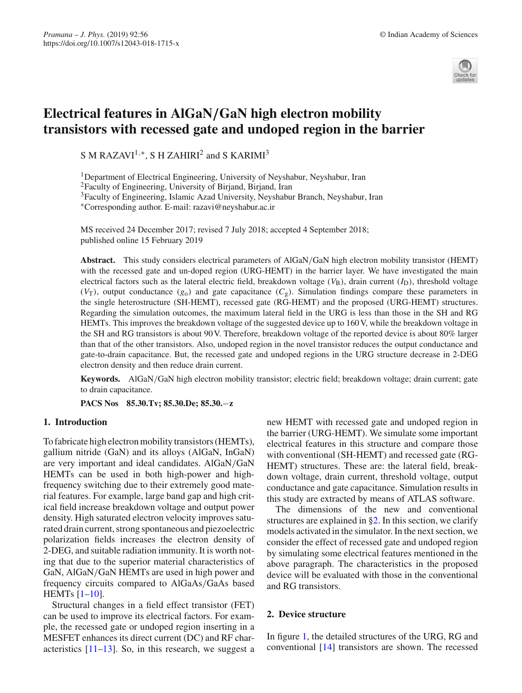

# **Electrical features in AlGaN***/***GaN high electron mobility transistors with recessed gate and undoped region in the barrier**

S M RAZAVI<sup>1,\*</sup>, S H ZAHIRI<sup>2</sup> and S KARIMI<sup>3</sup>

<sup>1</sup>Department of Electrical Engineering, University of Neyshabur, Neyshabur, Iran 2Faculty of Engineering, University of Birjand, Birjand, Iran 3Faculty of Engineering, Islamic Azad University, Neyshabur Branch, Neyshabur, Iran

∗Corresponding author. E-mail: razavi@neyshabur.ac.ir

MS received 24 December 2017; revised 7 July 2018; accepted 4 September 2018; published online 15 February 2019

**Abstract.** This study considers electrical parameters of AlGaN/GaN high electron mobility transistor (HEMT) with the recessed gate and un-doped region (URG-HEMT) in the barrier layer. We have investigated the main electrical factors such as the lateral electric field, breakdown voltage  $(V<sub>B</sub>)$ , drain current  $(I<sub>D</sub>)$ , threshold voltage  $(V_T)$ , output conductance  $(g_0)$  and gate capacitance  $(C_g)$ . Simulation findings compare these parameters in the single heterostructure (SH-HEMT), recessed gate (RG-HEMT) and the proposed (URG-HEMT) structures. Regarding the simulation outcomes, the maximum lateral field in the URG is less than those in the SH and RG HEMTs. This improves the breakdown voltage of the suggested device up to 160 V, while the breakdown voltage in the SH and RG transistors is about 90 V. Therefore, breakdown voltage of the reported device is about 80% larger than that of the other transistors. Also, undoped region in the novel transistor reduces the output conductance and gate-to-drain capacitance. But, the recessed gate and undoped regions in the URG structure decrease in 2-DEG electron density and then reduce drain current.

**Keywords.** AlGaN/GaN high electron mobility transistor; electric field; breakdown voltage; drain current; gate to drain capacitance.

**PACS Nos 85.30.Tv; 85.30.De; 85.30.**−**z**

## **1. Introduction**

To fabricate high electron mobility transistors (HEMTs), gallium nitride (GaN) and its alloys (AlGaN, InGaN) are very important and ideal candidates. AlGaN/GaN HEMTs can be used in both high-power and highfrequency switching due to their extremely good material features. For example, large band gap and high critical field increase breakdown voltage and output power density. High saturated electron velocity improves saturated drain current, strong spontaneous and piezoelectric polarization fields increases the electron density of 2-DEG, and suitable radiation immunity. It is worth noting that due to the superior material characteristics of GaN, AlGaN/GaN HEMTs are used in high power and frequency circuits compared to AlGaAs/GaAs based HEMTs [\[1](#page-4-0)[–10](#page-4-1)].

Structural changes in a field effect transistor (FET) can be used to improve its electrical factors. For example, the recessed gate or undoped region inserting in a MESFET enhances its direct current (DC) and RF characteristics  $[11-13]$  $[11-13]$ . So, in this research, we suggest a new HEMT with recessed gate and undoped region in the barrier (URG-HEMT). We simulate some important electrical features in this structure and compare those with conventional (SH-HEMT) and recessed gate (RG-HEMT) structures. These are: the lateral field, breakdown voltage, drain current, threshold voltage, output conductance and gate capacitance. Simulation results in this study are extracted by means of ATLAS software.

The dimensions of the new and conventional structures are explained in [§2.](#page-0-0) In this section, we clarify models activated in the simulator. In the next section, we consider the effect of recessed gate and undoped region by simulating some electrical features mentioned in the above paragraph. The characteristics in the proposed device will be evaluated with those in the conventional and RG transistors.

## <span id="page-0-0"></span>**2. Device structure**

In figure [1,](#page-1-0) the detailed structures of the URG, RG and conventional [\[14](#page-4-4)] transistors are shown. The recessed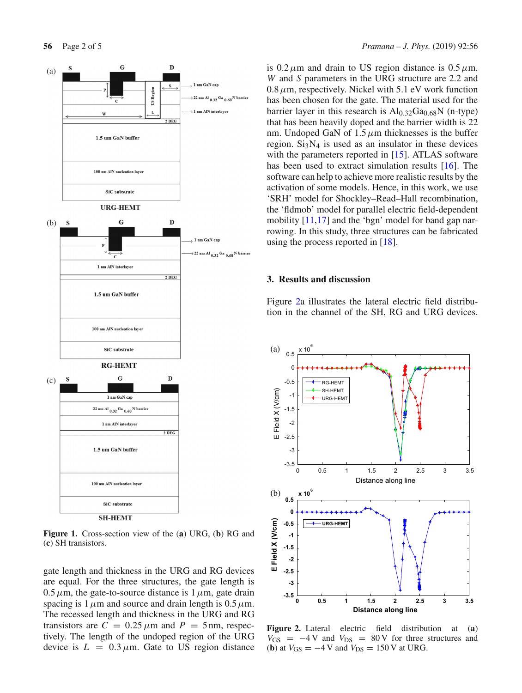

<span id="page-1-0"></span>**Figure 1.** Cross-section view of the (**a**) URG, (**b**) RG and (**c**) SH transistors.

gate length and thickness in the URG and RG devices are equal. For the three structures, the gate length is  $0.5 \mu$ m, the gate-to-source distance is  $1 \mu$ m, gate drain spacing is 1  $\mu$ m and source and drain length is 0.5  $\mu$ m. The recessed length and thickness in the URG and RG transistors are  $C = 0.25 \mu m$  and  $P = 5 \text{ nm}$ , respectively. The length of the undoped region of the URG device is  $L = 0.3 \mu$ m. Gate to US region distance

is  $0.2 \mu$ m and drain to US region distance is  $0.5 \mu$ m. *W* and *S* parameters in the URG structure are 2.2 and  $0.8 \mu$ m, respectively. Nickel with 5.1 eV work function has been chosen for the gate. The material used for the barrier layer in this research is  $Al<sub>0.32</sub>Ga<sub>0.68</sub>N$  (n-type) that has been heavily doped and the barrier width is 22 nm. Undoped GaN of  $1.5 \mu$ m thicknesses is the buffer region.  $Si<sub>3</sub>N<sub>4</sub>$  is used as an insulator in these devices with the parameters reported in [\[15](#page-4-5)]. ATLAS software has been used to extract simulation results [\[16\]](#page-4-6). The software can help to achieve more realistic results by the activation of some models. Hence, in this work, we use 'SRH' model for Shockley–Read–Hall recombination, the 'fldmob' model for parallel electric field-dependent mobility [\[11](#page-4-2)[,17\]](#page-4-7) and the 'bgn' model for band gap narrowing. In this study, three structures can be fabricated using the process reported in [\[18\]](#page-4-8).

#### **3. Results and discussion**

Figure [2a](#page-1-1) illustrates the lateral electric field distribution in the channel of the SH, RG and URG devices.



<span id="page-1-1"></span>**Figure 2.** Lateral electric field distribution at (**a**)  $V_{GS}$  =  $-4$  V and  $V_{DS}$  = 80 V for three structures and (**b**) at  $V_{GS} = -4$  V and  $V_{DS} = 150$  V at URG.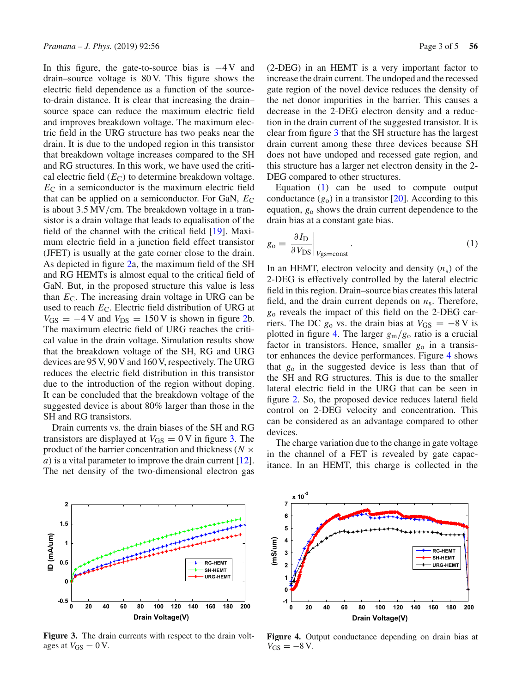In this figure, the gate-to-source bias is  $-4V$  and drain–source voltage is 80 V. This figure shows the electric field dependence as a function of the sourceto-drain distance. It is clear that increasing the drain– source space can reduce the maximum electric field and improves breakdown voltage. The maximum electric field in the URG structure has two peaks near the drain. It is due to the undoped region in this transistor that breakdown voltage increases compared to the SH and RG structures. In this work, we have used the critical electric field  $(E_C)$  to determine breakdown voltage.  $E_{\text{C}}$  in a semiconductor is the maximum electric field that can be applied on a semiconductor. For GaN,  $E_C$ is about 3.5 MV/cm. The breakdown voltage in a transistor is a drain voltage that leads to equalisation of the field of the channel with the critical field [\[19](#page-4-9)]. Maximum electric field in a junction field effect transistor (JFET) is usually at the gate corner close to the drain. As depicted in figure [2a](#page-1-1), the maximum field of the SH and RG HEMTs is almost equal to the critical field of GaN. But, in the proposed structure this value is less than  $E_{\text{C}}$ . The increasing drain voltage in URG can be used to reach *E*<sub>C</sub>. Electric field distribution of URG at  $V_{GS} = -4 \text{V}$  and  $V_{DS} = 150 \text{V}$  is shown in figure [2b](#page-1-1). The maximum electric field of URG reaches the critical value in the drain voltage. Simulation results show that the breakdown voltage of the SH, RG and URG devices are 95 V, 90 V and 160 V, respectively. The URG reduces the electric field distribution in this transistor due to the introduction of the region without doping. It can be concluded that the breakdown voltage of the suggested device is about 80% larger than those in the SH and RG transistors.

Drain currents vs. the drain biases of the SH and RG transistors are displayed at  $V_{GS} = 0$  V in figure [3.](#page-2-0) The product of the barrier concentration and thickness (*N* × *a*) is a vital parameter to improve the drain current [\[12](#page-4-10)]. The net density of the two-dimensional electron gas (2-DEG) in an HEMT is a very important factor to increase the drain current. The undoped and the recessed gate region of the novel device reduces the density of the net donor impurities in the barrier. This causes a decrease in the 2-DEG electron density and a reduction in the drain current of the suggested transistor. It is clear from figure [3](#page-2-0) that the SH structure has the largest drain current among these three devices because SH does not have undoped and recessed gate region, and this structure has a larger net electron density in the 2- DEG compared to other structures.

Equation [\(1\)](#page-2-1) can be used to compute output conductance  $(g_0)$  in a transistor  $[20]$  $[20]$ . According to this equation, *g*<sup>o</sup> shows the drain current dependence to the drain bias at a constant gate bias.

<span id="page-2-1"></span>
$$
g_{o} = \left. \frac{\partial I_{D}}{\partial V_{DS}} \right|_{V_{SS} = \text{const}}.
$$
 (1)

In an HEMT, electron velocity and density  $(n<sub>s</sub>)$  of the 2-DEG is effectively controlled by the lateral electric field in this region. Drain–source bias creates this lateral field, and the drain current depends on  $n<sub>s</sub>$ . Therefore, *g*<sup>o</sup> reveals the impact of this field on the 2-DEG carriers. The DC  $g_0$  vs. the drain bias at  $V_{GS} = -8$  V is plotted in figure [4.](#page-2-2) The larger *g*m/*g*<sup>o</sup> ratio is a crucial factor in transistors. Hence, smaller *g*<sup>o</sup> in a transistor enhances the device performances. Figure [4](#page-2-2) shows that *g*<sup>o</sup> in the suggested device is less than that of the SH and RG structures. This is due to the smaller lateral electric field in the URG that can be seen in figure [2.](#page-1-1) So, the proposed device reduces lateral field control on 2-DEG velocity and concentration. This can be considered as an advantage compared to other devices.

The charge variation due to the change in gate voltage in the channel of a FET is revealed by gate capacitance. In an HEMT, this charge is collected in the



<span id="page-2-0"></span>**Figure 3.** The drain currents with respect to the drain voltages at  $V_{GS} = 0$  V.



<span id="page-2-2"></span>**Figure 4.** Output conductance depending on drain bias at  $V_{GS} = -8$  V.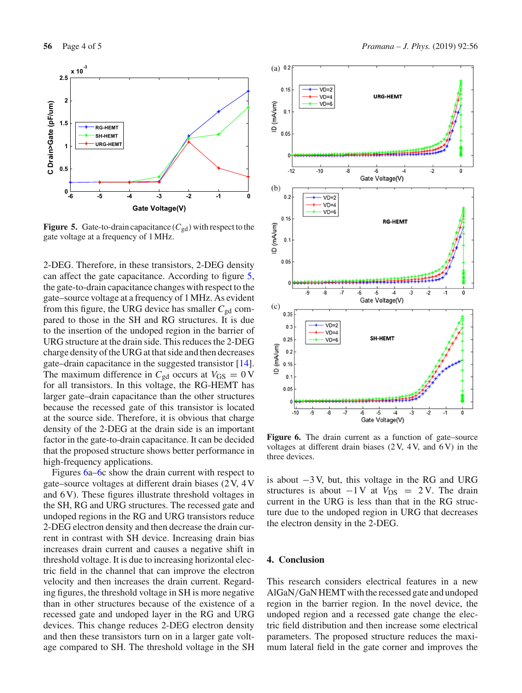

<span id="page-3-0"></span>**Figure 5.** Gate-to-drain capacitance  $(C_{gd})$  with respect to the gate voltage at a frequency of 1 MHz.

2-DEG. Therefore, in these transistors, 2-DEG density can affect the gate capacitance. According to figure [5,](#page-3-0) the gate-to-drain capacitance changes with respect to the gate–source voltage at a frequency of 1 MHz. As evident from this figure, the URG device has smaller  $C_{gd}$  compared to those in the SH and RG structures. It is due to the insertion of the undoped region in the barrier of URG structure at the drain side. This reduces the 2-DEG charge density of the URG at that side and then decreases gate–drain capacitance in the suggested transistor [\[14](#page-4-4)]. The maximum difference in  $C_{gd}$  occurs at  $V_{GS} = 0$  V for all transistors. In this voltage, the RG-HEMT has larger gate–drain capacitance than the other structures because the recessed gate of this transistor is located at the source side. Therefore, it is obvious that charge density of the 2-DEG at the drain side is an important factor in the gate-to-drain capacitance. It can be decided that the proposed structure shows better performance in high-frequency applications.

Figures [6a–6c](#page-3-1) show the drain current with respect to gate–source voltages at different drain biases (2 V, 4 V and 6 V). These figures illustrate threshold voltages in the SH, RG and URG structures. The recessed gate and undoped regions in the RG and URG transistors reduce 2-DEG electron density and then decrease the drain current in contrast with SH device. Increasing drain bias increases drain current and causes a negative shift in threshold voltage. It is due to increasing horizontal electric field in the channel that can improve the electron velocity and then increases the drain current. Regarding figures, the threshold voltage in SH is more negative than in other structures because of the existence of a recessed gate and undoped layer in the RG and URG devices. This change reduces 2-DEG electron density and then these transistors turn on in a larger gate voltage compared to SH. The threshold voltage in the SH



<span id="page-3-1"></span>Figure 6. The drain current as a function of gate–source voltages at different drain biases  $(2V, 4V,$  and  $6V)$  in the three devices.

is about −3 V, but, this voltage in the RG and URG structures is about  $-1$  V at  $V_{DS}$  = 2 V. The drain current in the URG is less than that in the RG structure due to the undoped region in URG that decreases the electron density in the 2-DEG.

#### **4. Conclusion**

This research considers electrical features in a new AlGaN/GaN HEMT with the recessed gate and undoped region in the barrier region. In the novel device, the undoped region and a recessed gate change the electric field distribution and then increase some electrical parameters. The proposed structure reduces the maximum lateral field in the gate corner and improves the